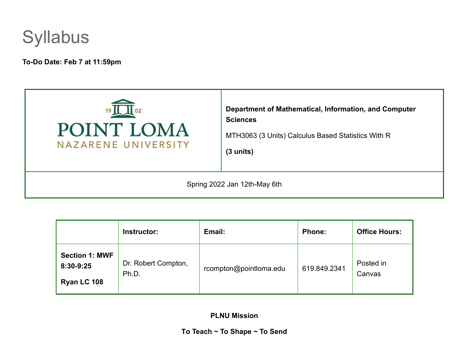

**To-Do Date: Feb 7 at 11:59pm**



|                                                   | Instructor:                  | Email:                 | Phone:       | <b>Office Hours:</b> |
|---------------------------------------------------|------------------------------|------------------------|--------------|----------------------|
| <b>Section 1: MWF</b><br>8:30-9:25<br>Ryan LC 108 | Dr. Robert Compton,<br>Ph.D. | rcompton@pointloma.edu | 619.849.2341 | Posted in<br>Canvas  |

**PLNU Mission**

**To Teach ~ To Shape ~ To Send**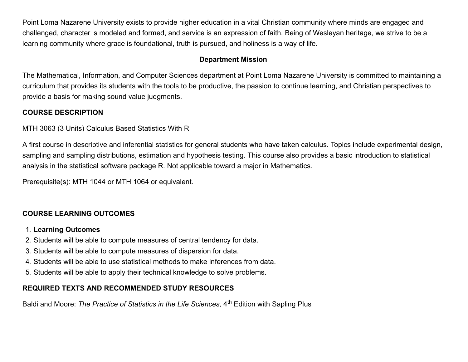Point Loma Nazarene University exists to provide higher education in a vital Christian community where minds are engaged and challenged, character is modeled and formed, and service is an expression of faith. Being of Wesleyan heritage, we strive to be a learning community where grace is foundational, truth is pursued, and holiness is a way of life.

## **Department Mission**

The Mathematical, Information, and Computer Sciences department at Point Loma Nazarene University is committed to maintaining a curriculum that provides its students with the tools to be productive, the passion to continue learning, and Christian perspectives to provide a basis for making sound value judgments.

# **COURSE DESCRIPTION**

MTH 3063 (3 Units) Calculus Based Statistics With R

A first course in descriptive and inferential statistics for general students who have taken calculus. Topics include experimental design, sampling and sampling distributions, estimation and hypothesis testing. This course also provides a basic introduction to statistical analysis in the statistical software package R. Not applicable toward a major in Mathematics.

Prerequisite(s): MTH 1044 or MTH 1064 or equivalent.

# **COURSE LEARNING OUTCOMES**

# 1. **Learning Outcomes**

- 2. Students will be able to compute measures of central tendency for data.
- 3. Students will be able to compute measures of dispersion for data.
- 4. Students will be able to use statistical methods to make inferences from data.
- 5. Students will be able to apply their technical knowledge to solve problems.

# **REQUIRED TEXTS AND RECOMMENDED STUDY RESOURCES**

Baldi and Moore: *The Practice of Statistics in the Life Sciences*, 4<sup>th</sup> Edition with Sapling Plus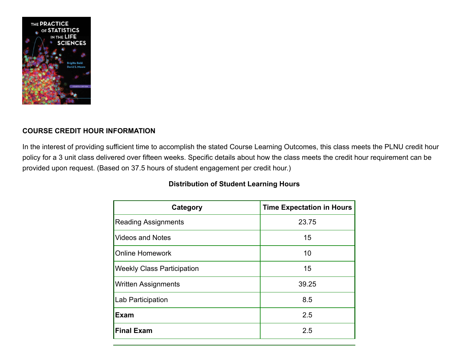

# **COURSE CREDIT HOUR INFORMATION**

In the interest of providing sufficient time to accomplish the stated Course Learning Outcomes, this class meets the PLNU credit hour policy for a 3 unit class delivered over fifteen weeks. Specific details about how the class meets the credit hour requirement can be provided upon request. (Based on 37.5 hours of student engagement per credit hour.)

| Category                          | <b>Time Expectation in Hours</b> |
|-----------------------------------|----------------------------------|
| <b>Reading Assignments</b>        | 23.75                            |
| <b>Videos and Notes</b>           | 15                               |
| <b>Online Homework</b>            | 10                               |
| <b>Weekly Class Participation</b> | 15                               |
| <b>Written Assignments</b>        | 39.25                            |
| Lab Participation                 | 8.5                              |
| <b>Exam</b>                       | 2.5                              |
| <b>Final Exam</b>                 | 2.5                              |

# **Distribution of Student Learning Hours**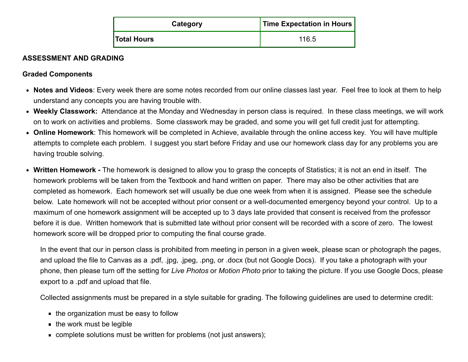| Category           | Time Expectation in Hours |  |
|--------------------|---------------------------|--|
| <b>Total Hours</b> | 116.5                     |  |

## **ASSESSMENT AND GRADING**

## **Graded Components**

- **Notes and Videos**: Every week there are some notes recorded from our online classes last year. Feel free to look at them to help understand any concepts you are having trouble with.
- **Weekly Classwork:** Attendance at the Monday and Wednesday in person class is required. In these class meetings, we will work on to work on activities and problems. Some classwork may be graded, and some you will get full credit just for attempting.
- **Online Homework**: This homework will be completed in Achieve, available through the online access key. You will have multiple attempts to complete each problem. I suggest you start before Friday and use our homework class day for any problems you are having trouble solving.
- **Written Homework** The homework is designed to allow you to grasp the concepts of Statistics; it is not an end in itself. The homework problems will be taken from the Textbook and hand written on paper. There may also be other activities that are completed as homework. Each homework set will usually be due one week from when it is assigned. Please see the schedule below. Late homework will not be accepted without prior consent or a well-documented emergency beyond your control. Up to a maximum of one homework assignment will be accepted up to 3 days late provided that consent is received from the professor before it is due. Written homework that is submitted late without prior consent will be recorded with a score of zero. The lowest homework score will be dropped prior to computing the final course grade.

In the event that our in person class is prohibited from meeting in person in a given week, please scan or photograph the pages, and upload the file to Canvas as a .pdf, .jpg, .jpeg, .png, or .docx (but not Google Docs). If you take a photograph with your phone, then please turn off the setting for *Live Photos* or *Motion Photo* prior to taking the picture. If you use Google Docs, please export to a .pdf and upload that file.

Collected assignments must be prepared in a style suitable for grading. The following guidelines are used to determine credit:

- $\blacksquare$  the organization must be easy to follow
- $\blacksquare$  the work must be legible
- **complete solutions must be written for problems (not just answers);**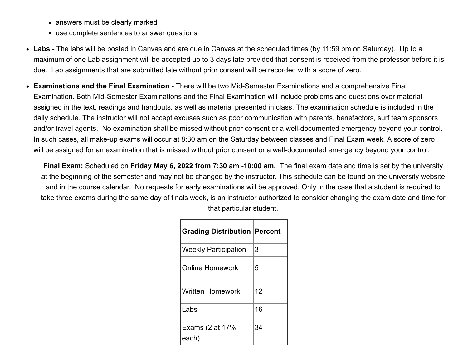- answers must be clearly marked
- use complete sentences to answer questions
- **Labs -** The labs will be posted in Canvas and are due in Canvas at the scheduled times (by 11:59 pm on Saturday). Up to a maximum of one Lab assignment will be accepted up to 3 days late provided that consent is received from the professor before it is due. Lab assignments that are submitted late without prior consent will be recorded with a score of zero.
- **Examinations and the Final Examination -** There will be two Mid-Semester Examinations and a comprehensive Final Examination. Both Mid-Semester Examinations and the Final Examination will include problems and questions over material assigned in the text, readings and handouts, as well as material presented in class. The examination schedule is included in the daily schedule. The instructor will not accept excuses such as poor communication with parents, benefactors, surf team sponsors and/or travel agents. No examination shall be missed without prior consent or a well-documented emergency beyond your control. In such cases, all make-up exams will occur at 8:30 am on the Saturday between classes and Final Exam week. A score of zero will be assigned for an examination that is missed without prior consent or a well-documented emergency beyond your control.

**Final Exam:** Scheduled on **Friday May 6, 2022 from** 7**:30 am -10:00 am.** The final exam date and time is set by the university at the beginning of the semester and may not be changed by the instructor. This schedule can be found on the university website and in the course calendar. No requests for early examinations will be approved. Only in the case that a student is required to take three exams during the same day of finals week, is an instructor authorized to consider changing the exam date and time for that particular student.

| <b>Grading Distribution Percent</b> |    |
|-------------------------------------|----|
| Weekly Participation                | 3  |
| <b>Online Homework</b>              | 5  |
| Written Homework                    | 12 |
| Labs                                | 16 |
| Exams (2 at 17%<br>each)            | 34 |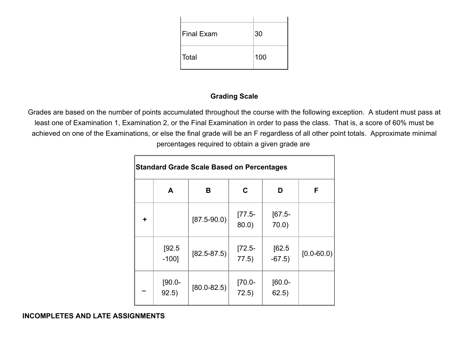| Final Exam | 30  |
|------------|-----|
| ∣Total     | 100 |

### **Grading Scale**

Grades are based on the number of points accumulated throughout the course with the following exception. A student must pass at least one of Examination 1, Examination 2, or the Final Examination in order to pass the class. That is, a score of 60% must be achieved on one of the Examinations, or else the final grade will be an F regardless of all other point totals. Approximate minimal percentages required to obtain a given grade are

| <b>Standard Grade Scale Based on Percentages</b> |                    |                 |                      |                      |                |
|--------------------------------------------------|--------------------|-----------------|----------------------|----------------------|----------------|
|                                                  | A                  | В               | $\mathbf C$          | D                    | F              |
| ÷                                                |                    | $[87.5 - 90.0]$ | $[77.5-$<br>$80.0$ ) | $[67.5-$<br>$70.0$ ) |                |
|                                                  | [92.5]<br>$-100$ ] | $[82.5 - 87.5]$ | $[72.5-$<br>77.5)    | [62.5]<br>$-67.5)$   | $[0.0 - 60.0]$ |
|                                                  | $[90.0 -$<br>92.5) | $[80.0 - 82.5]$ | $[70.0 -$<br>72.5)   | $[60.0 -]$<br>62.5)  |                |

#### **INCOMPLETES AND LATE ASSIGNMENTS**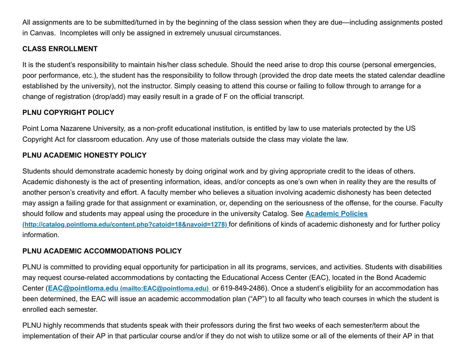All assignments are to be submitted/turned in by the beginning of the class session when they are due—including assignments posted in Canvas. Incompletes will only be assigned in extremely unusual circumstances.

# **CLASS ENROLLMENT**

It is the student's responsibility to maintain his/her class schedule. Should the need arise to drop this course (personal emergencies, poor performance, etc.), the student has the responsibility to follow through (provided the drop date meets the stated calendar deadline established by the university), not the instructor. Simply ceasing to attend this course or failing to follow through to arrange for a change of registration (drop/add) may easily result in a grade of F on the official transcript.

# **PLNU COPYRIGHT POLICY**

Point Loma Nazarene University, as a non-profit educational institution, is entitled by law to use materials protected by the US Copyright Act for classroom education. Any use of those materials outside the class may violate the law.

## **PLNU ACADEMIC HONESTY POLICY**

Students should demonstrate academic honesty by doing original work and by giving appropriate credit to the ideas of others. Academic dishonesty is the act of presenting information, ideas, and/or concepts as one's own when in reality they are the results of another person's creativity and effort. A faculty member who believes a situation involving academic dishonesty has been detected may assign a failing grade for that assignment or examination, or, depending on the seriousness of the offense, for the course. Faculty [should follow and students may appeal using the procedure in the university Catalog. See](http://catalog.pointloma.edu/content.php?catoid=18&navoid=1278) **Academic Policies (http://catalog.pointloma.edu/content.php?catoid=18&navoid=1278)** for definitions of kinds of academic dishonesty and for further policy information.

# **PLNU ACADEMIC ACCOMMODATIONS POLICY**

PLNU is committed to providing equal opportunity for participation in all its programs, services, and activities. Students with disabilities may request course-related accommodations by contacting the Educational Access Center (EAC), located in the Bond Academic Center (**EAC@pointloma.edu [\(mailto:EAC@pointloma.edu\)](mailto:EAC@pointloma.edu)** or 619-849-2486). Once a student's eligibility for an accommodation has been determined, the EAC will issue an academic accommodation plan ("AP") to all faculty who teach courses in which the student is enrolled each semester.

PLNU highly recommends that students speak with their professors during the first two weeks of each semester/term about the implementation of their AP in that particular course and/or if they do not wish to utilize some or all of the elements of their AP in that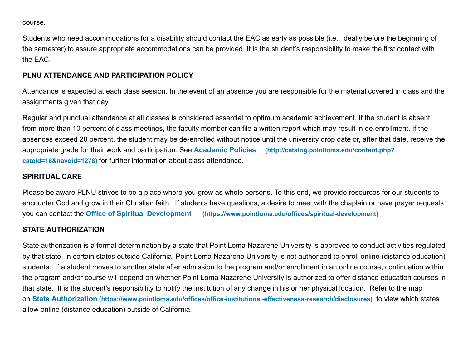course.

Students who need accommodations for a disability should contact the EAC as early as possible (i.e., ideally before the beginning of the semester) to assure appropriate accommodations can be provided. It is the student's responsibility to make the first contact with the EAC.

# **PLNU ATTENDANCE AND PARTICIPATION POLICY**

Attendance is expected at each class session. In the event of an absence you are responsible for the material covered in class and the assignments given that day.

Regular and punctual attendance at all classes is considered essential to optimum academic achievement. If the student is absent from more than 10 percent of class meetings, the faculty member can file a written report which may result in de-enrollment. If the absences exceed 20 percent, the student may be de-enrolled without notice until the university drop date or, after that date, receive the [appropriate grade for their work and participation. See](http://catalog.pointloma.edu/content.php?catoid=18&navoid=1278) **Academic Policies (http://catalog.pointloma.edu/content.php? catoid=18&navoid=1278)** for further information about class attendance.

# **SPIRITUAL CARE**

Please be aware PLNU strives to be a place where you grow as whole persons. To this end, we provide resources for our students to encounter God and grow in their Christian faith. If students have questions, a desire to meet with the chaplain or have prayer requests you can contact the **Office of Spiritual Development [\(https://www.pointloma.edu/offices/spiritual-development\)](https://www.pointloma.edu/offices/spiritual-development)**

# **STATE AUTHORIZATION**

State authorization is a formal determination by a state that Point Loma Nazarene University is approved to conduct activities regulated by that state. In certain states outside California, Point Loma Nazarene University is not authorized to enroll online (distance education) students. If a student moves to another state after admission to the program and/or enrollment in an online course, continuation within the program and/or course will depend on whether Point Loma Nazarene University is authorized to offer distance education courses in that state. It is the student's responsibility to notify the institution of any change in his or her physical location. Refer to the map on **State Authorization [\(https://www.pointloma.edu/offices/office-institutional-effectiveness-research/disclosures\)](https://www.pointloma.edu/offices/office-institutional-effectiveness-research/disclosures)** to view which states allow online (distance education) outside of California.